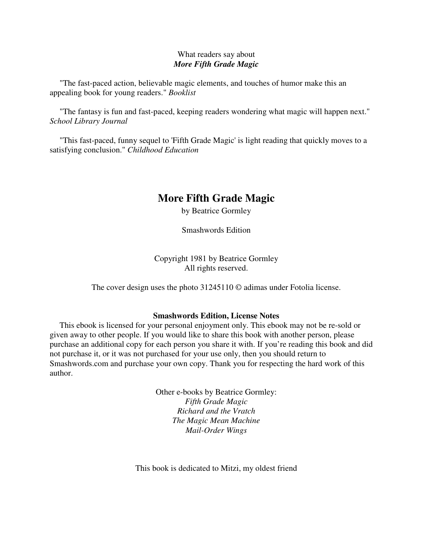### What readers say about *More Fifth Grade Magic*

"The fast-paced action, believable magic elements, and touches of humor make this an appealing book for young readers." *Booklist*

"The fantasy is fun and fast-paced, keeping readers wondering what magic will happen next." *School Library Journal*

"This fast-paced, funny sequel to 'Fifth Grade Magic' is light reading that quickly moves to a satisfying conclusion." *Childhood Education*

# **More Fifth Grade Magic**

by Beatrice Gormley

Smashwords Edition

Copyright 1981 by Beatrice Gormley All rights reserved.

The cover design uses the photo 31245110 © adimas under Fotolia license.

### **Smashwords Edition, License Notes**

This ebook is licensed for your personal enjoyment only. This ebook may not be re-sold or given away to other people. If you would like to share this book with another person, please purchase an additional copy for each person you share it with. If you're reading this book and did not purchase it, or it was not purchased for your use only, then you should return to Smashwords.com and purchase your own copy. Thank you for respecting the hard work of this author.

> Other e-books by Beatrice Gormley: *Fifth Grade Magic Richard and the Vratch The Magic Mean Machine Mail-Order Wings*

This book is dedicated to Mitzi, my oldest friend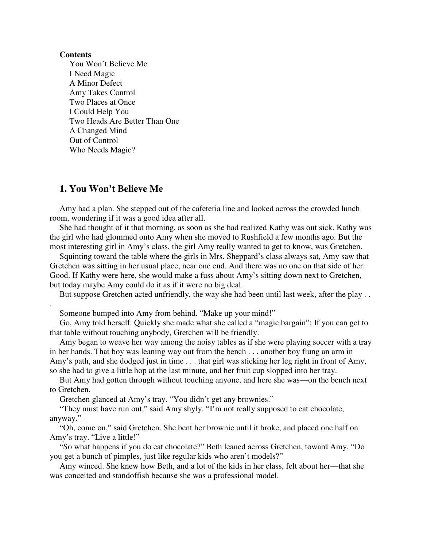#### **Contents**

.

You Won't Believe Me I Need Magic A Minor Defect Amy Takes Control Two Places at Once I Could Help You Two Heads Are Better Than One A Changed Mind Out of Control Who Needs Magic?

## **1. You Won't Believe Me**

Amy had a plan. She stepped out of the cafeteria line and looked across the crowded lunch room, wondering if it was a good idea after all.

She had thought of it that morning, as soon as she had realized Kathy was out sick. Kathy was the girl who had glommed onto Amy when she moved to Rushfield a few months ago. But the most interesting girl in Amy's class, the girl Amy really wanted to get to know, was Gretchen.

Squinting toward the table where the girls in Mrs. Sheppard's class always sat, Amy saw that Gretchen was sitting in her usual place, near one end. And there was no one on that side of her. Good. If Kathy were here, she would make a fuss about Amy's sitting down next to Gretchen, but today maybe Amy could do it as if it were no big deal.

But suppose Gretchen acted unfriendly, the way she had been until last week, after the play . .

Someone bumped into Amy from behind. "Make up your mind!"

Go, Amy told herself. Quickly she made what she called a "magic bargain": If you can get to that table without touching anybody, Gretchen will be friendly.

Amy began to weave her way among the noisy tables as if she were playing soccer with a tray in her hands. That boy was leaning way out from the bench . . . another boy flung an arm in Amy's path, and she dodged just in time . . . that girl was sticking her leg right in front of Amy, so she had to give a little hop at the last minute, and her fruit cup slopped into her tray.

But Amy had gotten through without touching anyone, and here she was—on the bench next to Gretchen.

Gretchen glanced at Amy's tray. "You didn't get any brownies."

"They must have run out," said Amy shyly. "I'm not really supposed to eat chocolate, anyway."

"Oh, come on," said Gretchen. She bent her brownie until it broke, and placed one half on Amy's tray. "Live a little!"

"So what happens if you do eat chocolate?" Beth leaned across Gretchen, toward Amy. "Do you get a bunch of pimples, just like regular kids who aren't models?"

Amy winced. She knew how Beth, and a lot of the kids in her class, felt about her—that she was conceited and standoffish because she was a professional model.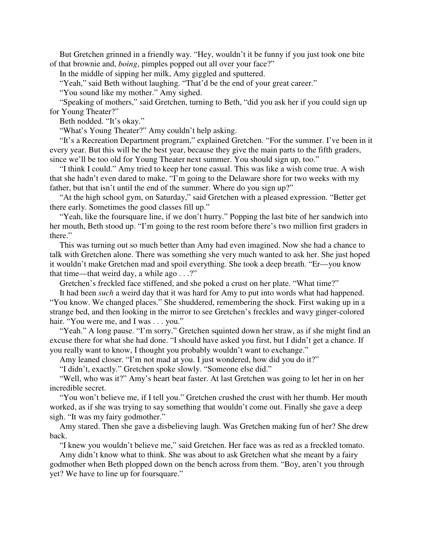But Gretchen grinned in a friendly way. "Hey, wouldn't it be funny if you just took one bite of that brownie and, *boing*, pimples popped out all over your face?"

In the middle of sipping her milk, Amy giggled and sputtered.

"Yeah," said Beth without laughing. "That'd be the end of your great career."

"You sound like my mother." Amy sighed.

"Speaking of mothers," said Gretchen, turning to Beth, "did you ask her if you could sign up for Young Theater?"

Beth nodded. "It's okay."

"What's Young Theater?" Amy couldn't help asking.

"It's a Recreation Department program," explained Gretchen. "For the summer. I've been in it every year. But this will be the best year, because they give the main parts to the fifth graders, since we'll be too old for Young Theater next summer. You should sign up, too."

"I think I could." Amy tried to keep her tone casual. This was like a wish come true. A wish that she hadn't even dared to make. "I'm going to the Delaware shore for two weeks with my father, but that isn't until the end of the summer. Where do you sign up?"

"At the high school gym, on Saturday," said Gretchen with a pleased expression. "Better get there early. Sometimes the good classes fill up."

"Yeah, like the foursquare line, if we don't hurry." Popping the last bite of her sandwich into her mouth, Beth stood up. "I'm going to the rest room before there's two million first graders in there."

This was turning out so much better than Amy had even imagined. Now she had a chance to talk with Gretchen alone. There was something she very much wanted to ask her. She just hoped it wouldn't make Gretchen mad and spoil everything. She took a deep breath. "Er—you know that time—that weird day, a while ago . . .?"

Gretchen's freckled face stiffened, and she poked a crust on her plate. "What time?"

It had been *such* a weird day that it was hard for Amy to put into words what had happened. "You know. We changed places." She shuddered, remembering the shock. First waking up in a strange bed, and then looking in the mirror to see Gretchen's freckles and wavy ginger-colored hair. "You were me, and I was . . . you."

"Yeah." A long pause. "I'm sorry." Gretchen squinted down her straw, as if she might find an excuse there for what she had done. "I should have asked you first, but I didn't get a chance. If you really want to know, I thought you probably wouldn't want to exchange."

Amy leaned closer. "I'm not mad at you. I just wondered, how did you do it?"

"I didn't, exactly." Gretchen spoke slowly. "Someone else did."

"Well, who was it?" Amy's heart beat faster. At last Gretchen was going to let her in on her incredible secret.

"You won't believe me, if I tell you." Gretchen crushed the crust with her thumb. Her mouth worked, as if she was trying to say something that wouldn't come out. Finally she gave a deep sigh. "It was my fairy godmother."

Amy stared. Then she gave a disbelieving laugh. Was Gretchen making fun of her? She drew back.

"I knew you wouldn't believe me," said Gretchen. Her face was as red as a freckled tomato.

Amy didn't know what to think. She was about to ask Gretchen what she meant by a fairy godmother when Beth plopped down on the bench across from them. "Boy, aren't you through yet? We have to line up for foursquare."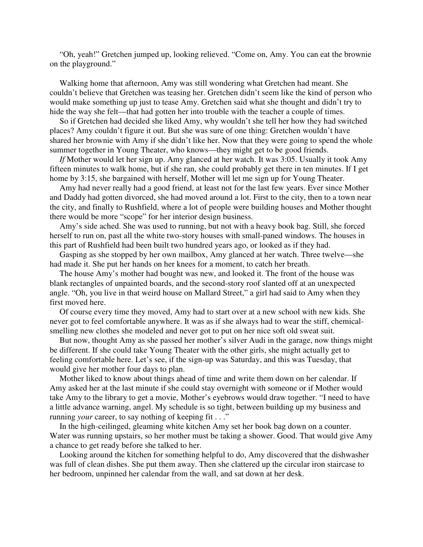"Oh, yeah!" Gretchen jumped up, looking relieved. "Come on, Amy. You can eat the brownie on the playground."

Walking home that afternoon, Amy was still wondering what Gretchen had meant. She couldn't believe that Gretchen was teasing her. Gretchen didn't seem like the kind of person who would make something up just to tease Amy. Gretchen said what she thought and didn't try to hide the way she felt—that had gotten her into trouble with the teacher a couple of times.

So if Gretchen had decided she liked Amy, why wouldn't she tell her how they had switched places? Amy couldn't figure it out. But she was sure of one thing: Gretchen wouldn't have shared her brownie with Amy if she didn't like her. Now that they were going to spend the whole summer together in Young Theater, who knows—they might get to be good friends.

*If* Mother would let her sign up. Amy glanced at her watch. It was 3:05. Usually it took Amy fifteen minutes to walk home, but if she ran, she could probably get there in ten minutes. If I get home by 3:15, she bargained with herself, Mother will let me sign up for Young Theater.

Amy had never really had a good friend, at least not for the last few years. Ever since Mother and Daddy had gotten divorced, she had moved around a lot. First to the city, then to a town near the city, and finally to Rushfield, where a lot of people were building houses and Mother thought there would be more "scope" for her interior design business.

Amy's side ached. She was used to running, but not with a heavy book bag. Still, she forced herself to run on, past all the white two-story houses with small-paned windows. The houses in this part of Rushfield had been built two hundred years ago, or looked as if they had.

Gasping as she stopped by her own mailbox, Amy glanced at her watch. Three twelve—she had made it. She put her hands on her knees for a moment, to catch her breath.

The house Amy's mother had bought was new, and looked it. The front of the house was blank rectangles of unpainted boards, and the second-story roof slanted off at an unexpected angle. "Oh, you live in that weird house on Mallard Street," a girl had said to Amy when they first moved here.

Of course every time they moved, Amy had to start over at a new school with new kids. She never got to feel comfortable anywhere. It was as if she always had to wear the stiff, chemicalsmelling new clothes she modeled and never got to put on her nice soft old sweat suit.

But now, thought Amy as she passed her mother's silver Audi in the garage, now things might be different. If she could take Young Theater with the other girls, she might actually get to feeling comfortable here. Let's see, if the sign-up was Saturday, and this was Tuesday, that would give her mother four days to plan.

Mother liked to know about things ahead of time and write them down on her calendar. If Amy asked her at the last minute if she could stay overnight with someone or if Mother would take Amy to the library to get a movie, Mother's eyebrows would draw together. "I need to have a little advance warning, angel. My schedule is so tight, between building up my business and running *your* career, to say nothing of keeping fit . . ."

In the high-ceilinged, gleaming white kitchen Amy set her book bag down on a counter. Water was running upstairs, so her mother must be taking a shower. Good. That would give Amy a chance to get ready before she talked to her.

Looking around the kitchen for something helpful to do, Amy discovered that the dishwasher was full of clean dishes. She put them away. Then she clattered up the circular iron staircase to her bedroom, unpinned her calendar from the wall, and sat down at her desk.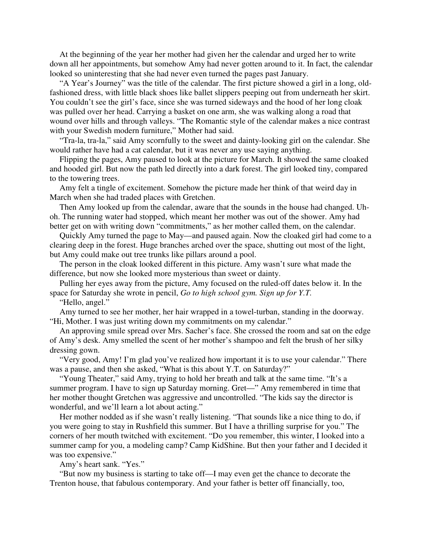At the beginning of the year her mother had given her the calendar and urged her to write down all her appointments, but somehow Amy had never gotten around to it. In fact, the calendar looked so uninteresting that she had never even turned the pages past January.

"A Year's Journey" was the title of the calendar. The first picture showed a girl in a long, oldfashioned dress, with little black shoes like ballet slippers peeping out from underneath her skirt. You couldn't see the girl's face, since she was turned sideways and the hood of her long cloak was pulled over her head. Carrying a basket on one arm, she was walking along a road that wound over hills and through valleys. "The Romantic style of the calendar makes a nice contrast with your Swedish modern furniture," Mother had said.

"Tra-la, tra-la," said Amy scornfully to the sweet and dainty-looking girl on the calendar. She would rather have had a cat calendar, but it was never any use saying anything.

Flipping the pages, Amy paused to look at the picture for March. It showed the same cloaked and hooded girl. But now the path led directly into a dark forest. The girl looked tiny, compared to the towering trees.

Amy felt a tingle of excitement. Somehow the picture made her think of that weird day in March when she had traded places with Gretchen.

Then Amy looked up from the calendar, aware that the sounds in the house had changed. Uhoh. The running water had stopped, which meant her mother was out of the shower. Amy had better get on with writing down "commitments," as her mother called them, on the calendar.

Quickly Amy turned the page to May—and paused again. Now the cloaked girl had come to a clearing deep in the forest. Huge branches arched over the space, shutting out most of the light, but Amy could make out tree trunks like pillars around a pool.

The person in the cloak looked different in this picture. Amy wasn't sure what made the difference, but now she looked more mysterious than sweet or dainty.

Pulling her eyes away from the picture, Amy focused on the ruled-off dates below it. In the space for Saturday she wrote in pencil, *Go to high school gym. Sign up for Y.T.*

"Hello, angel."

Amy turned to see her mother, her hair wrapped in a towel-turban, standing in the doorway. "Hi, Mother. I was just writing down my commitments on my calendar."

An approving smile spread over Mrs. Sacher's face. She crossed the room and sat on the edge of Amy's desk. Amy smelled the scent of her mother's shampoo and felt the brush of her silky dressing gown.

"Very good, Amy! I'm glad you've realized how important it is to use your calendar." There was a pause, and then she asked, "What is this about Y.T. on Saturday?"

"Young Theater," said Amy, trying to hold her breath and talk at the same time. "It's a summer program. I have to sign up Saturday morning. Gret—" Amy remembered in time that her mother thought Gretchen was aggressive and uncontrolled. "The kids say the director is wonderful, and we'll learn a lot about acting."

Her mother nodded as if she wasn't really listening. "That sounds like a nice thing to do, if you were going to stay in Rushfield this summer. But I have a thrilling surprise for you." The corners of her mouth twitched with excitement. "Do you remember, this winter, I looked into a summer camp for you, a modeling camp? Camp KidShine. But then your father and I decided it was too expensive."

Amy's heart sank. "Yes."

"But now my business is starting to take off—I may even get the chance to decorate the Trenton house, that fabulous contemporary. And your father is better off financially, too,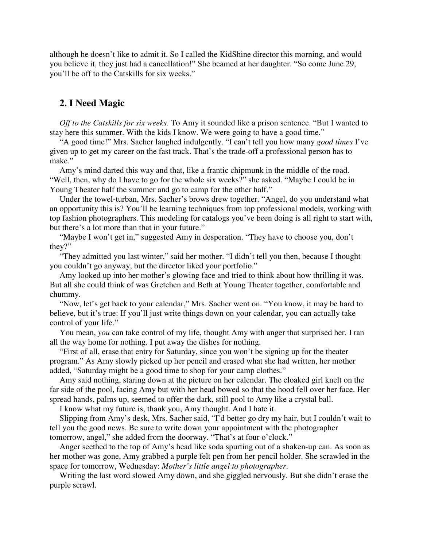although he doesn't like to admit it. So I called the KidShine director this morning, and would you believe it, they just had a cancellation!" She beamed at her daughter. "So come June 29, you'll be off to the Catskills for six weeks."

# **2. I Need Magic**

*Off to the Catskills for six weeks*. To Amy it sounded like a prison sentence. "But I wanted to stay here this summer. With the kids I know. We were going to have a good time."

"A good time!" Mrs. Sacher laughed indulgently. "I can't tell you how many *good times* I've given up to get my career on the fast track. That's the trade-off a professional person has to make."

Amy's mind darted this way and that, like a frantic chipmunk in the middle of the road. "Well, then, why do I have to go for the whole six weeks?" she asked. "Maybe I could be in Young Theater half the summer and go to camp for the other half."

Under the towel-turban, Mrs. Sacher's brows drew together. "Angel, do you understand what an opportunity this is? You'll be learning techniques from top professional models, working with top fashion photographers. This modeling for catalogs you've been doing is all right to start with, but there's a lot more than that in your future."

"Maybe I won't get in," suggested Amy in desperation. "They have to choose you, don't they?"

"They admitted you last winter," said her mother. "I didn't tell you then, because I thought you couldn't go anyway, but the director liked your portfolio."

Amy looked up into her mother's glowing face and tried to think about how thrilling it was. But all she could think of was Gretchen and Beth at Young Theater together, comfortable and chummy.

"Now, let's get back to your calendar," Mrs. Sacher went on. "You know, it may be hard to believe, but it's true: If you'll just write things down on your calendar, you can actually take control of your life."

You mean, *you* can take control of my life, thought Amy with anger that surprised her. I ran all the way home for nothing. I put away the dishes for nothing.

"First of all, erase that entry for Saturday, since you won't be signing up for the theater program." As Amy slowly picked up her pencil and erased what she had written, her mother added, "Saturday might be a good time to shop for your camp clothes."

Amy said nothing, staring down at the picture on her calendar. The cloaked girl knelt on the far side of the pool, facing Amy but with her head bowed so that the hood fell over her face. Her spread hands, palms up, seemed to offer the dark, still pool to Amy like a crystal ball.

I know what my future is, thank you, Amy thought. And I hate it.

Slipping from Amy's desk, Mrs. Sacher said, "I'd better go dry my hair, but I couldn't wait to tell you the good news. Be sure to write down your appointment with the photographer tomorrow, angel," she added from the doorway. "That's at four o'clock."

Anger seethed to the top of Amy's head like soda spurting out of a shaken-up can. As soon as her mother was gone, Amy grabbed a purple felt pen from her pencil holder. She scrawled in the space for tomorrow, Wednesday: *Mother's little angel to photographer*.

Writing the last word slowed Amy down, and she giggled nervously. But she didn't erase the purple scrawl.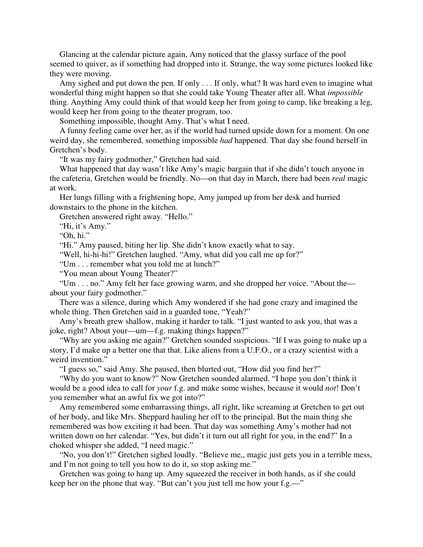Glancing at the calendar picture again, Amy noticed that the glassy surface of the pool seemed to quiver, as if something had dropped into it. Strange, the way some pictures looked like they were moving.

Amy sighed and put down the pen. If only . . . If only, what? It was hard even to imagine what wonderful thing might happen so that she could take Young Theater after all. What *impossible* thing. Anything Amy could think of that would keep her from going to camp, like breaking a leg, would keep her from going to the theater program, too.

Something impossible, thought Amy. That's what I need.

A funny feeling came over her, as if the world had turned upside down for a moment. On one weird day, she remembered, something impossible *had* happened. That day she found herself in Gretchen's body.

"It was my fairy godmother," Gretchen had said.

What happened that day wasn't like Amy's magic bargain that if she didn't touch anyone in the cafeteria, Gretchen would be friendly. No—on that day in March, there had been *real* magic at work.

Her lungs filling with a frightening hope, Amy jumped up from her desk and hurried downstairs to the phone in the kitchen.

Gretchen answered right away. "Hello."

"Hi, it's Amy."

"Oh, hi."

"Hi." Amy paused, biting her lip. She didn't know exactly what to say.

"Well, hi-hi-hi!" Gretchen laughed. "Amy, what did you call me up for?"

"Um . . . remember what you told me at lunch?"

"You mean about Young Theater?"

"Um . . . no." Amy felt her face growing warm, and she dropped her voice. "About the about your fairy godmother."

There was a silence, during which Amy wondered if she had gone crazy and imagined the whole thing. Then Gretchen said in a guarded tone, "Yeah?"

Amy's breath grew shallow, making it harder to talk. "I just wanted to ask you, that was a joke, right? About your—um—f.g. making things happen?"

"Why are you asking me again?" Gretchen sounded suspicious. "If I was going to make up a story, I'd make up a better one that that. Like aliens from a U.F.O., or a crazy scientist with a weird invention."

"I guess so," said Amy. She paused, then blurted out, "How did you find her?"

"Why do you want to know?" Now Gretchen sounded alarmed. "I hope you don't think it would be a good idea to call for *your* f.g. and make some wishes, because it would *not*! Don't you remember what an awful fix we got into?"

Amy remembered some embarrassing things, all right, like screaming at Gretchen to get out of her body, and like Mrs. Sheppard hauling her off to the principal. But the main thing she remembered was how exciting it had been. That day was something Amy's mother had not written down on her calendar. "Yes, but didn't it turn out all right for you, in the end?" In a choked whisper she added, "I need magic."

"No, you don't!" Gretchen sighed loudly. "Believe me,, magic just gets you in a terrible mess, and I'm not going to tell you how to do it, so stop asking me."

Gretchen was going to hang up. Amy squeezed the receiver in both hands, as if she could keep her on the phone that way. "But can't you just tell me how your f.g.—"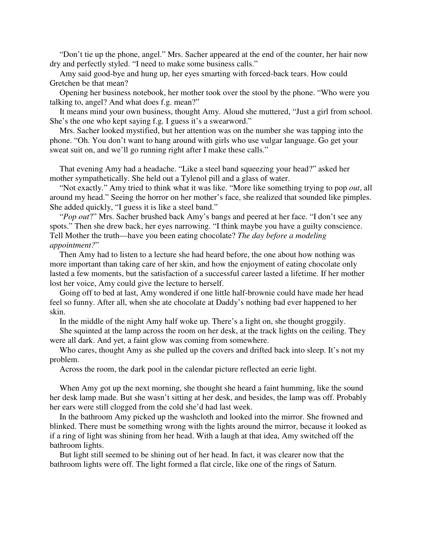"Don't tie up the phone, angel." Mrs. Sacher appeared at the end of the counter, her hair now dry and perfectly styled. "I need to make some business calls."

Amy said good-bye and hung up, her eyes smarting with forced-back tears. How could Gretchen be that mean?

Opening her business notebook, her mother took over the stool by the phone. "Who were you talking to, angel? And what does f.g. mean?"

It means mind your own business, thought Amy. Aloud she muttered, "Just a girl from school. She's the one who kept saying f.g. I guess it's a swearword."

Mrs. Sacher looked mystified, but her attention was on the number she was tapping into the phone. "Oh. You don't want to hang around with girls who use vulgar language. Go get your sweat suit on, and we'll go running right after I make these calls."

That evening Amy had a headache. "Like a steel band squeezing your head?" asked her mother sympathetically. She held out a Tylenol pill and a glass of water.

"Not exactly." Amy tried to think what it was like. "More like something trying to pop *out*, all around my head." Seeing the horror on her mother's face, she realized that sounded like pimples. She added quickly, "I guess it is like a steel band."

"*Pop out*?" Mrs. Sacher brushed back Amy's bangs and peered at her face. "I don't see any spots." Then she drew back, her eyes narrowing. "I think maybe you have a guilty conscience. Tell Mother the truth—have you been eating chocolate? *The day before a modeling appointment?*"

Then Amy had to listen to a lecture she had heard before, the one about how nothing was more important than taking care of her skin, and how the enjoyment of eating chocolate only lasted a few moments, but the satisfaction of a successful career lasted a lifetime. If her mother lost her voice, Amy could give the lecture to herself.

Going off to bed at last, Amy wondered if one little half-brownie could have made her head feel so funny. After all, when she ate chocolate at Daddy's nothing bad ever happened to her skin.

In the middle of the night Amy half woke up. There's a light on, she thought groggily.

She squinted at the lamp across the room on her desk, at the track lights on the ceiling. They were all dark. And yet, a faint glow was coming from somewhere.

Who cares, thought Amy as she pulled up the covers and drifted back into sleep. It's not my problem.

Across the room, the dark pool in the calendar picture reflected an eerie light.

When Amy got up the next morning, she thought she heard a faint humming, like the sound her desk lamp made. But she wasn't sitting at her desk, and besides, the lamp was off. Probably her ears were still clogged from the cold she'd had last week.

In the bathroom Amy picked up the washcloth and looked into the mirror. She frowned and blinked. There must be something wrong with the lights around the mirror, because it looked as if a ring of light was shining from her head. With a laugh at that idea, Amy switched off the bathroom lights.

But light still seemed to be shining out of her head. In fact, it was clearer now that the bathroom lights were off. The light formed a flat circle, like one of the rings of Saturn.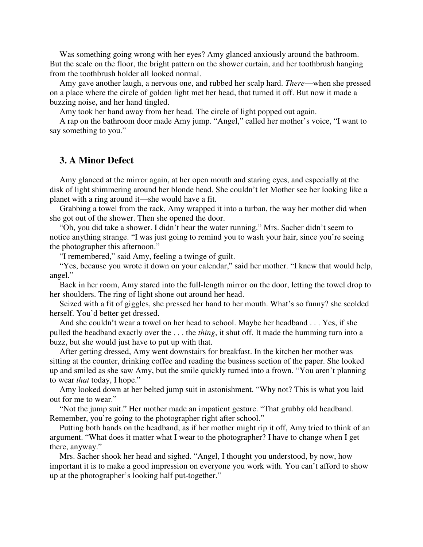Was something going wrong with her eyes? Amy glanced anxiously around the bathroom. But the scale on the floor, the bright pattern on the shower curtain, and her toothbrush hanging from the toothbrush holder all looked normal.

Amy gave another laugh, a nervous one, and rubbed her scalp hard. *There*—when she pressed on a place where the circle of golden light met her head, that turned it off. But now it made a buzzing noise, and her hand tingled.

Amy took her hand away from her head. The circle of light popped out again.

A rap on the bathroom door made Amy jump. "Angel," called her mother's voice, "I want to say something to you."

## **3. A Minor Defect**

Amy glanced at the mirror again, at her open mouth and staring eyes, and especially at the disk of light shimmering around her blonde head. She couldn't let Mother see her looking like a planet with a ring around it—she would have a fit.

Grabbing a towel from the rack, Amy wrapped it into a turban, the way her mother did when she got out of the shower. Then she opened the door.

"Oh, you did take a shower. I didn't hear the water running." Mrs. Sacher didn't seem to notice anything strange. "I was just going to remind you to wash your hair, since you're seeing the photographer this afternoon."

"I remembered," said Amy, feeling a twinge of guilt.

"Yes, because you wrote it down on your calendar," said her mother. "I knew that would help, angel."

Back in her room, Amy stared into the full-length mirror on the door, letting the towel drop to her shoulders. The ring of light shone out around her head.

Seized with a fit of giggles, she pressed her hand to her mouth. What's so funny? she scolded herself. You'd better get dressed.

And she couldn't wear a towel on her head to school. Maybe her headband . . . Yes, if she pulled the headband exactly over the . . . the *thing*, it shut off. It made the humming turn into a buzz, but she would just have to put up with that.

After getting dressed, Amy went downstairs for breakfast. In the kitchen her mother was sitting at the counter, drinking coffee and reading the business section of the paper. She looked up and smiled as she saw Amy, but the smile quickly turned into a frown. "You aren't planning to wear *that* today, I hope."

Amy looked down at her belted jump suit in astonishment. "Why not? This is what you laid out for me to wear."

"Not the jump suit." Her mother made an impatient gesture. "That grubby old headband. Remember, you're going to the photographer right after school."

Putting both hands on the headband, as if her mother might rip it off, Amy tried to think of an argument. "What does it matter what I wear to the photographer? I have to change when I get there, anyway."

Mrs. Sacher shook her head and sighed. "Angel, I thought you understood, by now, how important it is to make a good impression on everyone you work with. You can't afford to show up at the photographer's looking half put-together."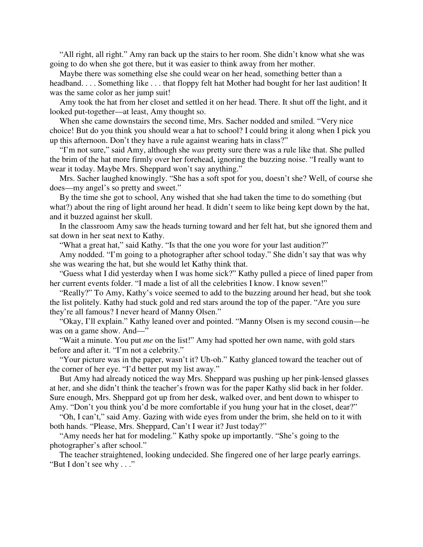"All right, all right." Amy ran back up the stairs to her room. She didn't know what she was going to do when she got there, but it was easier to think away from her mother.

Maybe there was something else she could wear on her head, something better than a headband. . . . Something like . . . that floppy felt hat Mother had bought for her last audition! It was the same color as her jump suit!

Amy took the hat from her closet and settled it on her head. There. It shut off the light, and it looked put-together—at least, Amy thought so.

When she came downstairs the second time, Mrs. Sacher nodded and smiled. "Very nice choice! But do you think you should wear a hat to school? I could bring it along when I pick you up this afternoon. Don't they have a rule against wearing hats in class?"

"I'm not sure," said Amy, although she *was* pretty sure there was a rule like that. She pulled the brim of the hat more firmly over her forehead, ignoring the buzzing noise. "I really want to wear it today. Maybe Mrs. Sheppard won't say anything."

Mrs. Sacher laughed knowingly. "She has a soft spot for you, doesn't she? Well, of course she does—my angel's so pretty and sweet."

By the time she got to school, Any wished that she had taken the time to do something (but what?) about the ring of light around her head. It didn't seem to like being kept down by the hat, and it buzzed against her skull.

In the classroom Amy saw the heads turning toward and her felt hat, but she ignored them and sat down in her seat next to Kathy.

"What a great hat," said Kathy. "Is that the one you wore for your last audition?"

Amy nodded. "I'm going to a photographer after school today." She didn't say that was why she was wearing the hat, but she would let Kathy think that.

"Guess what I did yesterday when I was home sick?" Kathy pulled a piece of lined paper from her current events folder. "I made a list of all the celebrities I know. I know seven!"

"Really?" To Amy, Kathy's voice seemed to add to the buzzing around her head, but she took the list politely. Kathy had stuck gold and red stars around the top of the paper. "Are you sure they're all famous? I never heard of Manny Olsen."

"Okay, I'll explain." Kathy leaned over and pointed. "Manny Olsen is my second cousin—he was on a game show. And—"

"Wait a minute. You put *me* on the list!" Amy had spotted her own name, with gold stars before and after it. "I'm not a celebrity."

"Your picture was in the paper, wasn't it? Uh-oh." Kathy glanced toward the teacher out of the corner of her eye. "I'd better put my list away."

But Amy had already noticed the way Mrs. Sheppard was pushing up her pink-lensed glasses at her, and she didn't think the teacher's frown was for the paper Kathy slid back in her folder. Sure enough, Mrs. Sheppard got up from her desk, walked over, and bent down to whisper to Amy. "Don't you think you'd be more comfortable if you hung your hat in the closet, dear?"

"Oh, I can't," said Amy. Gazing with wide eyes from under the brim, she held on to it with both hands. "Please, Mrs. Sheppard, Can't I wear it? Just today?"

"Amy needs her hat for modeling." Kathy spoke up importantly. "She's going to the photographer's after school."

The teacher straightened, looking undecided. She fingered one of her large pearly earrings. "But I don't see why . . ."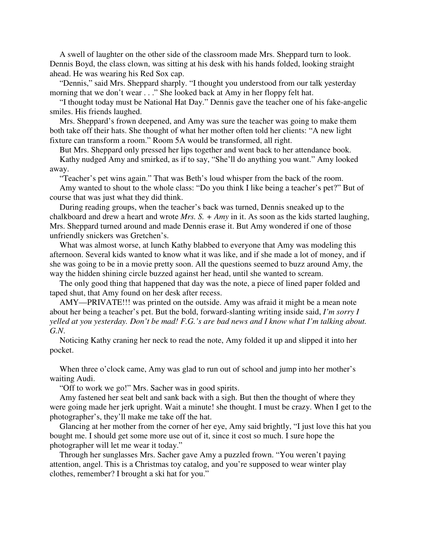A swell of laughter on the other side of the classroom made Mrs. Sheppard turn to look. Dennis Boyd, the class clown, was sitting at his desk with his hands folded, looking straight ahead. He was wearing his Red Sox cap.

"Dennis," said Mrs. Sheppard sharply. "I thought you understood from our talk yesterday morning that we don't wear . . ." She looked back at Amy in her floppy felt hat.

"I thought today must be National Hat Day." Dennis gave the teacher one of his fake-angelic smiles. His friends laughed.

Mrs. Sheppard's frown deepened, and Amy was sure the teacher was going to make them both take off their hats. She thought of what her mother often told her clients: "A new light fixture can transform a room." Room 5A would be transformed, all right.

But Mrs. Sheppard only pressed her lips together and went back to her attendance book.

Kathy nudged Amy and smirked, as if to say, "She'll do anything you want." Amy looked away.

"Teacher's pet wins again." That was Beth's loud whisper from the back of the room.

Amy wanted to shout to the whole class: "Do you think I like being a teacher's pet?" But of course that was just what they did think.

During reading groups, when the teacher's back was turned, Dennis sneaked up to the chalkboard and drew a heart and wrote *Mrs. S. + Amy* in it. As soon as the kids started laughing, Mrs. Sheppard turned around and made Dennis erase it. But Amy wondered if one of those unfriendly snickers was Gretchen's.

What was almost worse, at lunch Kathy blabbed to everyone that Amy was modeling this afternoon. Several kids wanted to know what it was like, and if she made a lot of money, and if she was going to be in a movie pretty soon. All the questions seemed to buzz around Amy, the way the hidden shining circle buzzed against her head, until she wanted to scream.

The only good thing that happened that day was the note, a piece of lined paper folded and taped shut, that Amy found on her desk after recess.

AMY—PRIVATE!!! was printed on the outside. Amy was afraid it might be a mean note about her being a teacher's pet. But the bold, forward-slanting writing inside said, *I'm sorry I yelled at you yesterday. Don't be mad! F.G.'s are bad news and I know what I'm talking about. G.N*.

Noticing Kathy craning her neck to read the note, Amy folded it up and slipped it into her pocket.

When three o'clock came, Amy was glad to run out of school and jump into her mother's waiting Audi.

"Off to work we go!" Mrs. Sacher was in good spirits.

Amy fastened her seat belt and sank back with a sigh. But then the thought of where they were going made her jerk upright. Wait a minute! she thought. I must be crazy. When I get to the photographer's, they'll make me take off the hat.

Glancing at her mother from the corner of her eye, Amy said brightly, "I just love this hat you bought me. I should get some more use out of it, since it cost so much. I sure hope the photographer will let me wear it today."

Through her sunglasses Mrs. Sacher gave Amy a puzzled frown. "You weren't paying attention, angel. This is a Christmas toy catalog, and you're supposed to wear winter play clothes, remember? I brought a ski hat for you."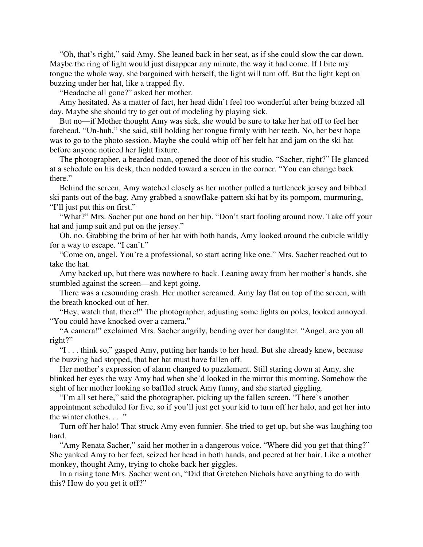"Oh, that's right," said Amy. She leaned back in her seat, as if she could slow the car down. Maybe the ring of light would just disappear any minute, the way it had come. If I bite my tongue the whole way, she bargained with herself, the light will turn off. But the light kept on buzzing under her hat, like a trapped fly.

"Headache all gone?" asked her mother.

Amy hesitated. As a matter of fact, her head didn't feel too wonderful after being buzzed all day. Maybe she should try to get out of modeling by playing sick.

But no—if Mother thought Amy was sick, she would be sure to take her hat off to feel her forehead. "Un-huh," she said, still holding her tongue firmly with her teeth. No, her best hope was to go to the photo session. Maybe she could whip off her felt hat and jam on the ski hat before anyone noticed her light fixture.

The photographer, a bearded man, opened the door of his studio. "Sacher, right?" He glanced at a schedule on his desk, then nodded toward a screen in the corner. "You can change back there."

Behind the screen, Amy watched closely as her mother pulled a turtleneck jersey and bibbed ski pants out of the bag. Amy grabbed a snowflake-pattern ski hat by its pompom, murmuring, "I'll just put this on first."

"What?" Mrs. Sacher put one hand on her hip. "Don't start fooling around now. Take off your hat and jump suit and put on the jersey."

Oh, no. Grabbing the brim of her hat with both hands, Amy looked around the cubicle wildly for a way to escape. "I can't."

"Come on, angel. You're a professional, so start acting like one." Mrs. Sacher reached out to take the hat.

Amy backed up, but there was nowhere to back. Leaning away from her mother's hands, she stumbled against the screen—and kept going.

There was a resounding crash. Her mother screamed. Amy lay flat on top of the screen, with the breath knocked out of her.

"Hey, watch that, there!" The photographer, adjusting some lights on poles, looked annoyed. "You could have knocked over a camera."

"A camera!" exclaimed Mrs. Sacher angrily, bending over her daughter. "Angel, are you all right?"

"I . . . think so," gasped Amy, putting her hands to her head. But she already knew, because the buzzing had stopped, that her hat must have fallen off.

Her mother's expression of alarm changed to puzzlement. Still staring down at Amy, she blinked her eyes the way Amy had when she'd looked in the mirror this morning. Somehow the sight of her mother looking so baffled struck Amy funny, and she started giggling.

"I'm all set here," said the photographer, picking up the fallen screen. "There's another appointment scheduled for five, so if you'll just get your kid to turn off her halo, and get her into the winter clothes. . . ."

Turn off her halo! That struck Amy even funnier. She tried to get up, but she was laughing too hard.

"Amy Renata Sacher," said her mother in a dangerous voice. "Where did you get that thing?" She yanked Amy to her feet, seized her head in both hands, and peered at her hair. Like a mother monkey, thought Amy, trying to choke back her giggles.

In a rising tone Mrs. Sacher went on, "Did that Gretchen Nichols have anything to do with this? How do you get it off?"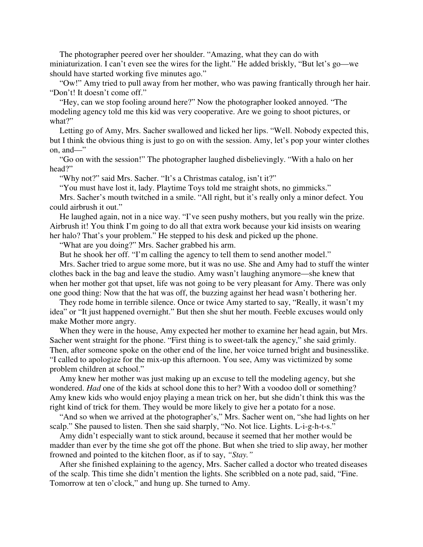The photographer peered over her shoulder. "Amazing, what they can do with miniaturization. I can't even see the wires for the light." He added briskly, "But let's go—we should have started working five minutes ago."

"Ow!" Amy tried to pull away from her mother, who was pawing frantically through her hair. "Don't! It doesn't come off."

"Hey, can we stop fooling around here?" Now the photographer looked annoyed. "The modeling agency told me this kid was very cooperative. Are we going to shoot pictures, or what?"

Letting go of Amy, Mrs. Sacher swallowed and licked her lips. "Well. Nobody expected this, but I think the obvious thing is just to go on with the session. Amy, let's pop your winter clothes on, and—"

"Go on with the session!" The photographer laughed disbelievingly. "With a halo on her head?"

"Why not?" said Mrs. Sacher. "It's a Christmas catalog, isn't it?"

"You must have lost it, lady. Playtime Toys told me straight shots, no gimmicks."

Mrs. Sacher's mouth twitched in a smile. "All right, but it's really only a minor defect. You could airbrush it out."

He laughed again, not in a nice way. "I've seen pushy mothers, but you really win the prize. Airbrush it! You think I'm going to do all that extra work because your kid insists on wearing her halo? That's your problem." He stepped to his desk and picked up the phone.

"What are you doing?" Mrs. Sacher grabbed his arm.

But he shook her off. "I'm calling the agency to tell them to send another model."

Mrs. Sacher tried to argue some more, but it was no use. She and Amy had to stuff the winter clothes back in the bag and leave the studio. Amy wasn't laughing anymore—she knew that when her mother got that upset, life was not going to be very pleasant for Amy. There was only one good thing: Now that the hat was off, the buzzing against her head wasn't bothering her.

They rode home in terrible silence. Once or twice Amy started to say, "Really, it wasn't my idea" or "It just happened overnight." But then she shut her mouth. Feeble excuses would only make Mother more angry.

When they were in the house, Amy expected her mother to examine her head again, but Mrs. Sacher went straight for the phone. "First thing is to sweet-talk the agency," she said grimly. Then, after someone spoke on the other end of the line, her voice turned bright and businesslike. "I called to apologize for the mix-up this afternoon. You see, Amy was victimized by some problem children at school."

Amy knew her mother was just making up an excuse to tell the modeling agency, but she wondered. *Had* one of the kids at school done this to her? With a voodoo doll or something? Amy knew kids who would enjoy playing a mean trick on her, but she didn't think this was the right kind of trick for them. They would be more likely to give her a potato for a nose.

"And so when we arrived at the photographer's," Mrs. Sacher went on, "she had lights on her scalp." She paused to listen. Then she said sharply, "No. Not lice. Lights. L-i-g-h-t-s."

Amy didn't especially want to stick around, because it seemed that her mother would be madder than ever by the time she got off the phone. But when she tried to slip away, her mother frowned and pointed to the kitchen floor, as if to say, *"Stay."*

After she finished explaining to the agency, Mrs. Sacher called a doctor who treated diseases of the scalp. This time she didn't mention the lights. She scribbled on a note pad, said, "Fine. Tomorrow at ten o'clock," and hung up. She turned to Amy.